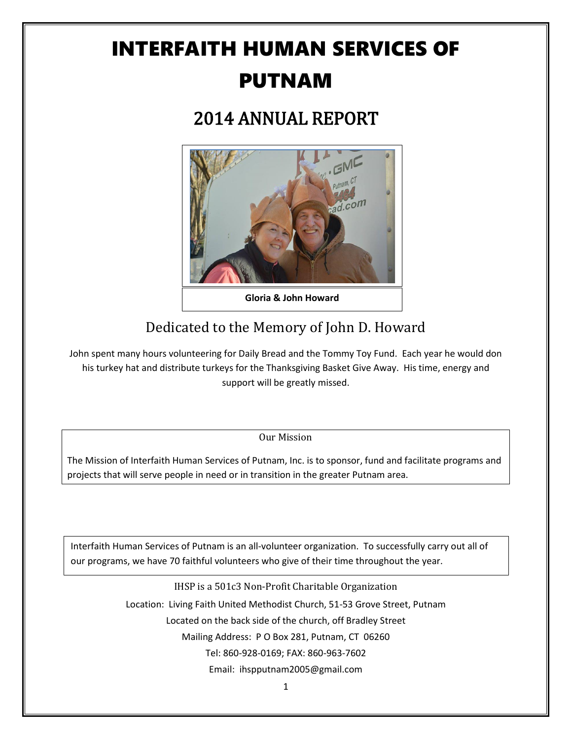# INTERFAITH HUMAN SERVICES OF PUTNAM

## 2014 ANNUAL REPORT



**Gloria & John Howard**

## Dedicated to the Memory of John D. Howard

John spent many hours volunteering for Daily Bread and the Tommy Toy Fund. Each year he would don his turkey hat and distribute turkeys for the Thanksgiving Basket Give Away. His time, energy and support will be greatly missed.

Our Mission

The Mission of Interfaith Human Services of Putnam, Inc. is to sponsor, fund and facilitate programs and projects that will serve people in need or in transition in the greater Putnam area.

Corner of 51 Grove St., & Bradley Street, P O Box 281, Putnam, CT 06260 Interfaith Human Services of Putnam is an all-volunteer organization. To successfully carry out all of our programs, we have 70 faithful volunteers who give of their time throughout the year.

> IHSP is a 501c3 Non-Profit Charitable Organization Location: Living Faith United Methodist Church, 51-53 Grove Street, Putnam Located on the back side of the church, off Bradley Street Mailing Address: P O Box 281, Putnam, CT 06260 Tel: 860-928-0169; FAX: 860-963-7602 Email: ihspputnam2005@gmail.com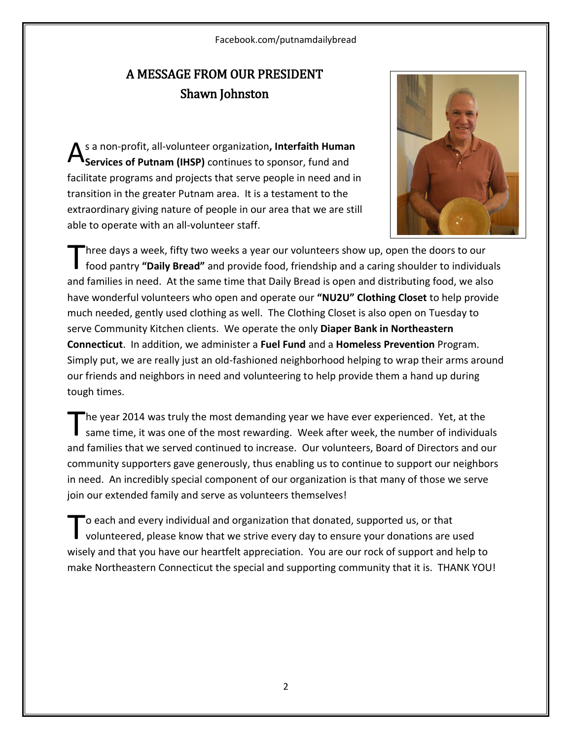Facebook.com/putnamdailybread

## A MESSAGE FROM OUR PRESIDENT Shawn Johnston

s a non-profit, all-volunteer organization**, Interfaith Human Services of Putnam (IHSP)** continues to sponsor, fund and facilitate programs and projects that serve people in need and in transition in the greater Putnam area. It is a testament to the extraordinary giving nature of people in our area that we are still able to operate with an all-volunteer staff. A



hree days a week, fifty two weeks a year our volunteers show up, open the doors to our food pantry **"Daily Bread"** and provide food, friendship and a caring shoulder to individuals and families in need. At the same time that Daily Bread is open and distributing food, we also have wonderful volunteers who open and operate our **"NU2U" Clothing Closet** to help provide much needed, gently used clothing as well. The Clothing Closet is also open on Tuesday to serve Community Kitchen clients. We operate the only **Diaper Bank in Northeastern Connecticut**. In addition, we administer a **Fuel Fund** and a **Homeless Prevention** Program. Simply put, we are really just an old-fashioned neighborhood helping to wrap their arms around our friends and neighbors in need and volunteering to help provide them a hand up during tough times. T

he year 2014 was truly the most demanding year we have ever experienced. Yet, at the same time, it was one of the most rewarding. Week after week, the number of individuals and families that we served continued to increase. Our volunteers, Board of Directors and our community supporters gave generously, thus enabling us to continue to support our neighbors in need. An incredibly special component of our organization is that many of those we serve join our extended family and serve as volunteers themselves! T

o each and every individual and organization that donated, supported us, or that volunteered, please know that we strive every day to ensure your donations are used wisely and that you have our heartfelt appreciation. You are our rock of support and help to make Northeastern Connecticut the special and supporting community that it is. THANK YOU! T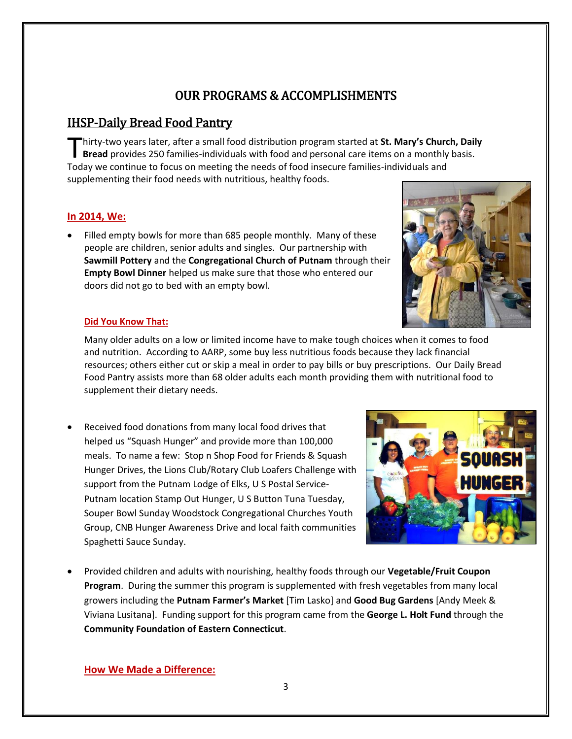## OUR PROGRAMS & ACCOMPLISHMENTS

## IHSP-Daily Bread Food Pantry

hirty-two years later, after a small food distribution program started at **St. Mary's Church, Daily Bread** provides 250 families-individuals with food and personal care items on a monthly basis. Thirty-two years later, after a small food distribution program started at St. Mary's Church Bread provides 250 families-individuals with food and personal care items on a monthly Today we continue to focus on meeting the supplementing their food needs with nutritious, healthy foods.

### **In 2014, We:**

 Filled empty bowls for more than 685 people monthly. Many of these people are children, senior adults and singles. Our partnership with **Sawmill Pottery** and the **Congregational Church of Putnam** through their **Empty Bowl Dinner** helped us make sure that those who entered our doors did not go to bed with an empty bowl.



#### **Did You Know That:**

Many older adults on a low or limited income have to make tough choices when it comes to food and nutrition. According to AARP, some buy less nutritious foods because they lack financial resources; others either cut or skip a meal in order to pay bills or buy prescriptions. Our Daily Bread Food Pantry assists more than 68 older adults each month providing them with nutritional food to supplement their dietary needs.

 Received food donations from many local food drives that helped us "Squash Hunger" and provide more than 100,000 meals. To name a few: Stop n Shop Food for Friends & Squash Hunger Drives, the Lions Club/Rotary Club Loafers Challenge with support from the Putnam Lodge of Elks, U S Postal Service-Putnam location Stamp Out Hunger, U S Button Tuna Tuesday, Souper Bowl Sunday Woodstock Congregational Churches Youth Group, CNB Hunger Awareness Drive and local faith communities Spaghetti Sauce Sunday.



 Provided children and adults with nourishing, healthy foods through our **Vegetable/Fruit Coupon Program**. During the summer this program is supplemented with fresh vegetables from many local growers including the **Putnam Farmer's Market** [Tim Lasko] and **Good Bug Gardens** [Andy Meek & Viviana Lusitana]. Funding support for this program came from the **George L. Holt Fund** through the **Community Foundation of Eastern Connecticut**.

**How We Made a Difference:**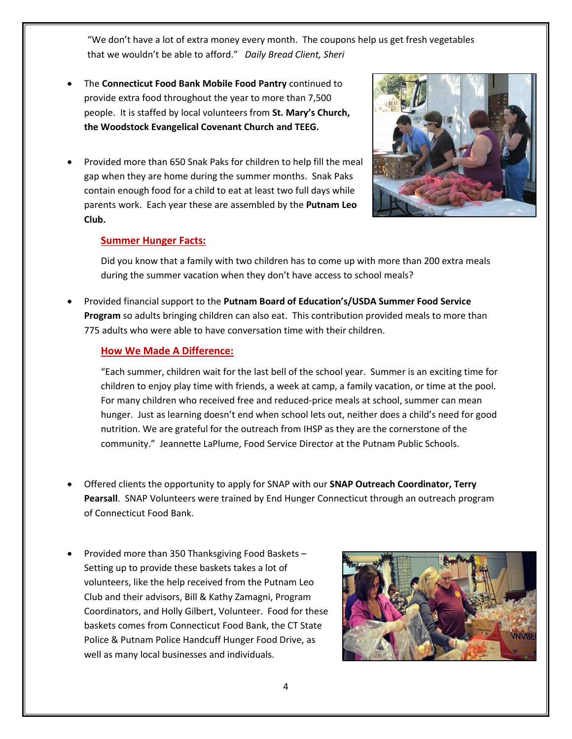"We don't have a lot of extra money every month. The coupons help us get fresh vegetables that we wouldn't be able to afford." *Daily Bread Client, Sheri*

- The **Connecticut Food Bank Mobile Food Pantry** continued to provide extra food throughout the year to more than 7,500 people. It is staffed by local volunteers from **St. Mary's Church, the Woodstock Evangelical Covenant Church and TEEG.**
- Provided more than 650 Snak Paks for children to help fill the meal gap when they are home during the summer months. Snak Paks contain enough food for a child to eat at least two full days while parents work. Each year these are assembled by the **Putnam Leo Club.**



#### **Summer Hunger Facts:**

Did you know that a family with two children has to come up with more than 200 extra meals during the summer vacation when they don't have access to school meals?

 Provided financial support to the **Putnam Board of Education's/USDA Summer Food Service Program** so adults bringing children can also eat. This contribution provided meals to more than 775 adults who were able to have conversation time with their children.

#### **How We Made A Difference:**

"Each summer, children wait for the last bell of the school year. Summer is an exciting time for children to enjoy play time with friends, a week at camp, a family vacation, or time at the pool. For many children who received free and reduced-price meals at school, summer can mean hunger. Just as learning doesn't end when school lets out, neither does a child's need for good nutrition. We are grateful for the outreach from IHSP as they are the cornerstone of the community." Jeannette LaPlume, Food Service Director at the Putnam Public Schools.

- Offered clients the opportunity to apply for SNAP with our **SNAP Outreach Coordinator, Terry Pearsall**. SNAP Volunteers were trained by End Hunger Connecticut through an outreach program of Connecticut Food Bank.
- Provided more than 350 Thanksgiving Food Baskets Setting up to provide these baskets takes a lot of volunteers, like the help received from the Putnam Leo Club and their advisors, Bill & Kathy Zamagni, Program Coordinators, and Holly Gilbert, Volunteer. Food for these baskets comes from Connecticut Food Bank, the CT State Police & Putnam Police Handcuff Hunger Food Drive, as well as many local businesses and individuals.

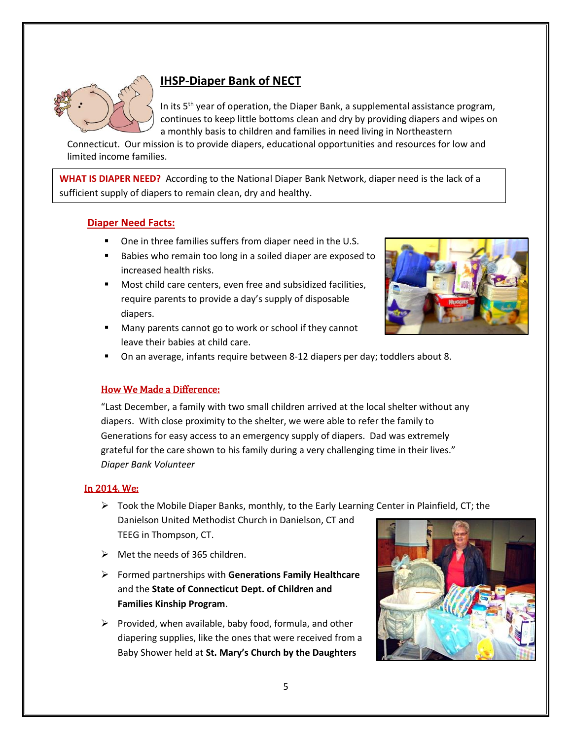

## **IHSP-Diaper Bank of NECT**

In its  $5<sup>th</sup>$  year of operation, the Diaper Bank, a supplemental assistance program, continues to keep little bottoms clean and dry by providing diapers and wipes on a monthly basis to children and families in need living in Northeastern

Connecticut. Our mission is to provide diapers, educational opportunities and resources for low and limited income families.

**WHAT IS DIAPER NEED?** According to the National Diaper Bank Network, diaper need is the lack of a sufficient supply of diapers to remain clean, dry and healthy.

#### **Diaper Need Facts:**

- One in three families suffers from diaper need in the U.S.
- Babies who remain too long in a soiled diaper are exposed to increased health risks.
- Most child care centers, even free and subsidized facilities, require parents to provide a day's supply of disposable diapers.
- Many parents cannot go to work or school if they cannot leave their babies at child care.



On an average, infants require between 8-12 diapers per day; toddlers about 8.

#### How We Made a Difference:

"Last December, a family with two small children arrived at the local shelter without any diapers. With close proximity to the shelter, we were able to refer the family to Generations for easy access to an emergency supply of diapers. Dad was extremely grateful for the care shown to his family during a very challenging time in their lives." *Diaper Bank Volunteer*

#### In 2014, We:

- $\triangleright$  Took the Mobile Diaper Banks, monthly, to the Early Learning Center in Plainfield, CT; the Danielson United Methodist Church in Danielson, CT and TEEG in Thompson, CT.
- $\triangleright$  Met the needs of 365 children.
- Formed partnerships with **Generations Family Healthcare** and the **State of Connecticut Dept. of Children and Families Kinship Program**.
- $\triangleright$  Provided, when available, baby food, formula, and other diapering supplies, like the ones that were received from a Baby Shower held at **St. Mary's Church by the Daughters**

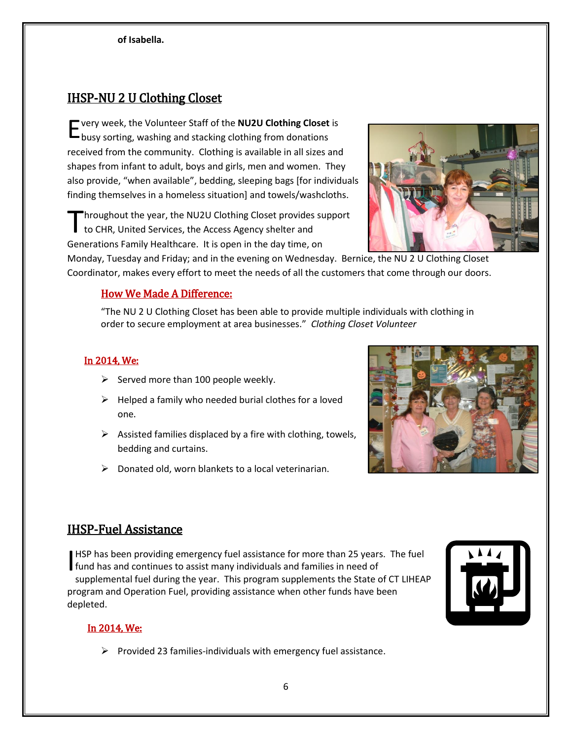## IHSP-NU 2 U Clothing Closet

very week, the Volunteer Staff of the **NU2U Clothing Closet** is E busy sorting, washing and stacking clothing from donations received from the community. Clothing is available in all sizes and shapes from infant to adult, boys and girls, men and women. They also provide, "when available", bedding, sleeping bags [for individuals finding themselves in a homeless situation] and towels/washcloths.

hroughout the year, the NU2U Clothing Closet provides support to CHR, United Services, the Access Agency shelter and Generations Family Healthcare. It is open in the day time, on T

Monday, Tuesday and Friday; and in the evening on Wednesday. Bernice, the NU 2 U Clothing Closet Coordinator, makes every effort to meet the needs of all the customers that come through our doors.

#### How We Made A Difference:

"The NU 2 U Clothing Closet has been able to provide multiple individuals with clothing in order to secure employment at area businesses." *Clothing Closet Volunteer*

### In 2014, We:

- $\triangleright$  Served more than 100 people weekly.
- $\triangleright$  Helped a family who needed burial clothes for a loved one.
- $\triangleright$  Assisted families displaced by a fire with clothing, towels, bedding and curtains.
- $\triangleright$  Donated old, worn blankets to a local veterinarian.



## IHSP-Fuel Assistance

HSP has been providing emergency fuel assistance for more than 25 years. The fuel **HSP has been providing emergency fuel assistance for more than 25 years<br>fund has and continues to assist many individuals and families in need of<br>supplemental fuel during the user. This assesses supplementa the State** supplemental fuel during the year. This program supplements the State of CT LIHEAP program and Operation Fuel, providing assistance when other funds have been depleted.



### In 2014, We:

 $\triangleright$  Provided 23 families-individuals with emergency fuel assistance.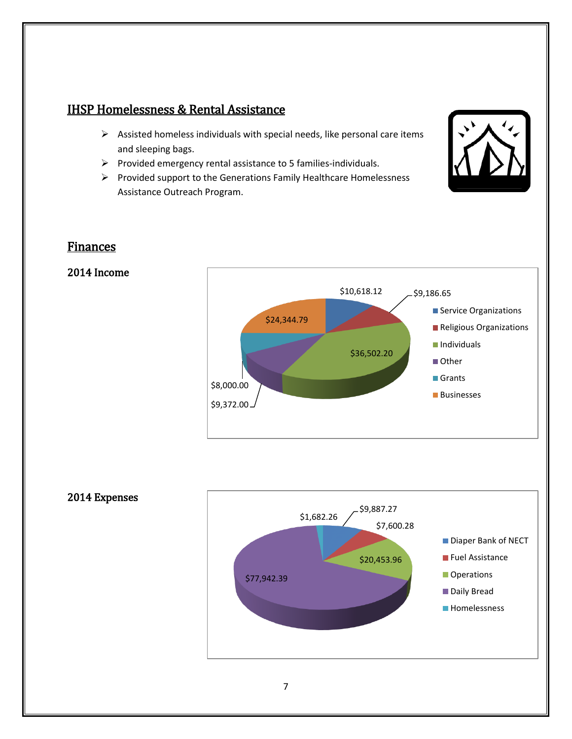## IHSP Homelessness & Rental Assistance

- $\triangleright$  Assisted homeless individuals with special needs, like personal care items and sleeping bags.
- $\triangleright$  Provided emergency rental assistance to 5 families-individuals.
- $\triangleright$  Provided support to the Generations Family Healthcare Homelessness Assistance Outreach Program.



## Finances

### 2014 Income



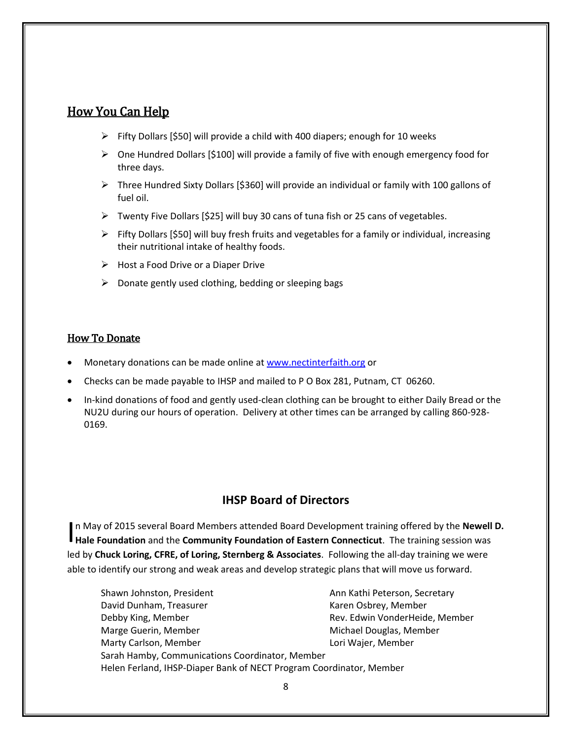## How You Can Help

- $\triangleright$  Fifty Dollars [\$50] will provide a child with 400 diapers; enough for 10 weeks
- $\triangleright$  One Hundred Dollars [\$100] will provide a family of five with enough emergency food for three days.
- $\triangleright$  Three Hundred Sixty Dollars [\$360] will provide an individual or family with 100 gallons of fuel oil.
- Twenty Five Dollars [\$25] will buy 30 cans of tuna fish or 25 cans of vegetables.
- $\triangleright$  Fifty Dollars [\$50] will buy fresh fruits and vegetables for a family or individual, increasing their nutritional intake of healthy foods.
- $\triangleright$  Host a Food Drive or a Diaper Drive
- $\triangleright$  Donate gently used clothing, bedding or sleeping bags

#### How To Donate

- Monetary donations can be made online a[t www.nectinterfaith.org](http://www.nectinterfaith.org/) or
- Checks can be made payable to IHSP and mailed to P O Box 281, Putnam, CT 06260.
- In-kind donations of food and gently used-clean clothing can be brought to either Daily Bread or the NU2U during our hours of operation. Delivery at other times can be arranged by calling 860-928- 0169.

## **IHSP Board of Directors**

In May of 2015 several Board Members attended Board Development training offered by the **Newell D.** In May of 2015 several Board Members attended Board Development training offered by the **Newell**<br> **Hale Foundation** and the **Community Foundation of Eastern Connecticut**. The training session was led by **Chuck Loring, CFRE, of Loring, Sternberg & Associates**. Following the all-day training we were able to identify our strong and weak areas and develop strategic plans that will move us forward.

Shawn Johnston, President Ann Kathi Peterson, Secretary David Dunham, Treasurer Karen Osbrey, Member Debby King, Member Rev. Edwin VonderHeide, Member Marge Guerin, Member Michael Douglas, Member Marty Carlson, Member **Louri Election Controllery** Lori Wajer, Member Sarah Hamby, Communications Coordinator, Member Helen Ferland, IHSP-Diaper Bank of NECT Program Coordinator, Member